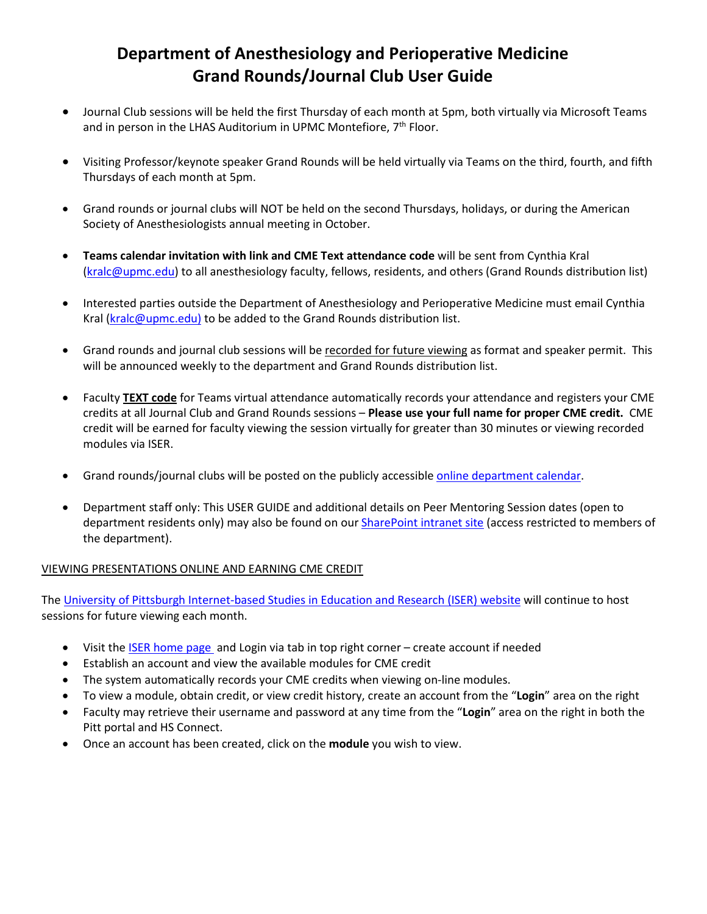## **Department of Anesthesiology and Perioperative Medicine Grand Rounds/Journal Club User Guide**

- Journal Club sessions will be held the first Thursday of each month at 5pm, both virtually via Microsoft Teams and in person in the LHAS Auditorium in UPMC Montefiore,  $7<sup>th</sup>$  Floor.
- Visiting Professor/keynote speaker Grand Rounds will be held virtually via Teams on the third, fourth, and fifth Thursdays of each month at 5pm.
- Grand rounds or journal clubs will NOT be held on the second Thursdays, holidays, or during the American Society of Anesthesiologists annual meeting in October.
- **Teams calendar invitation with link and CME Text attendance code** will be sent from Cynthia Kral [\(kralc@upmc.edu\)](mailto:kralc@upmc.edu) to all anesthesiology faculty, fellows, residents, and others (Grand Rounds distribution list)
- Interested parties outside the Department of Anesthesiology and Perioperative Medicine must email Cynthia Kral [\(kralc@upmc.edu\)](mailto:kralc@upmc.edu) to be added to the Grand Rounds distribution list.
- Grand rounds and journal club sessions will be recorded for future viewing as format and speaker permit. This will be announced weekly to the department and Grand Rounds distribution list.
- Faculty **TEXT code** for Teams virtual attendance automatically records your attendance and registers your CME credits at all Journal Club and Grand Rounds sessions – **Please use your full name for proper CME credit.** CME credit will be earned for faculty viewing the session virtually for greater than 30 minutes or viewing recorded modules via ISER.
- Grand rounds/journal clubs will be posted on the publicly accessible [online department calendar.](https://calendar.pitt.edu/department/department_of_anesthesiology_and_perioperative_medicine)
- Department staff only: This USER GUIDE and additional details on Peer Mentoring Session dates (open to department residents only) may also be found on our **SharePoint intranet site** (access restricted to members of the department).

## VIEWING PRESENTATIONS ONLINE AND EARNING CME CREDIT

The [University of Pittsburgh Internet-based Studies in Education and Research \(ISER\) website](https://cme.hs.pitt.edu/ISER/servlet/IteachControllerServlet?actiontotake=displaymainpage&site=agr) will continue to host sessions for future viewing each month.

- Visit the **ISER** home page and Login via tab in top right corner create account if needed
- Establish an account and view the available modules for CME credit
- The system automatically records your CME credits when viewing on-line modules.
- To view a module, obtain credit, or view credit history, create an account from the "**Login**" area on the right
- Faculty may retrieve their username and password at any time from the "**Login**" area on the right in both the Pitt portal and HS Connect.
- Once an account has been created, click on the **module** you wish to view.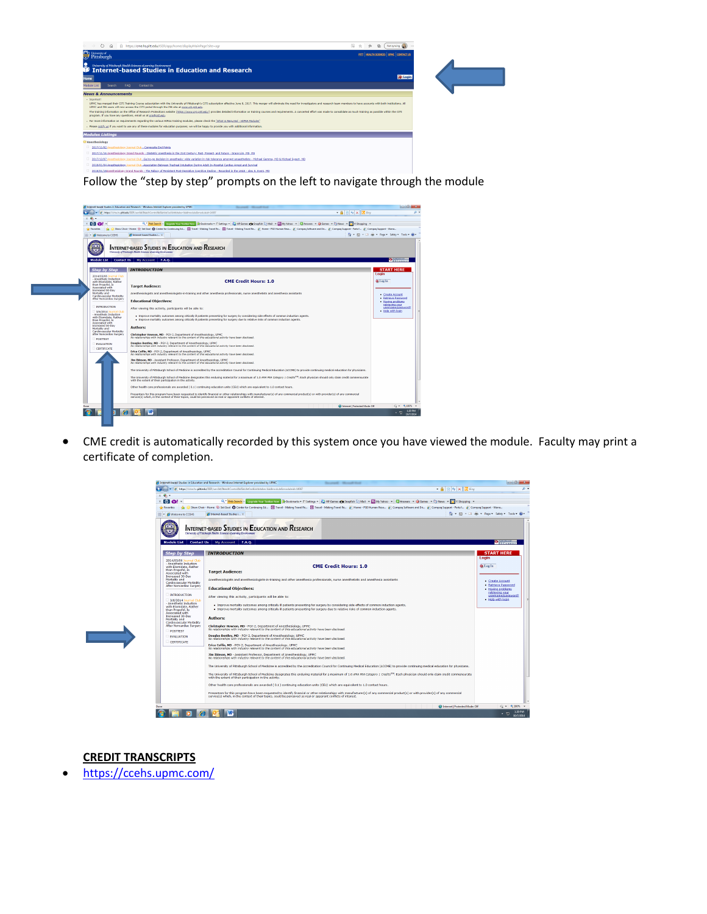

Follow the "step by step" prompts on the left to navigate through the module



• CME credit is automatically recorded by this system once you have viewed the module. Faculty may print a certificate of completion.



**CREDIT TRANSCRIPTS**

• <https://ccehs.upmc.com/>